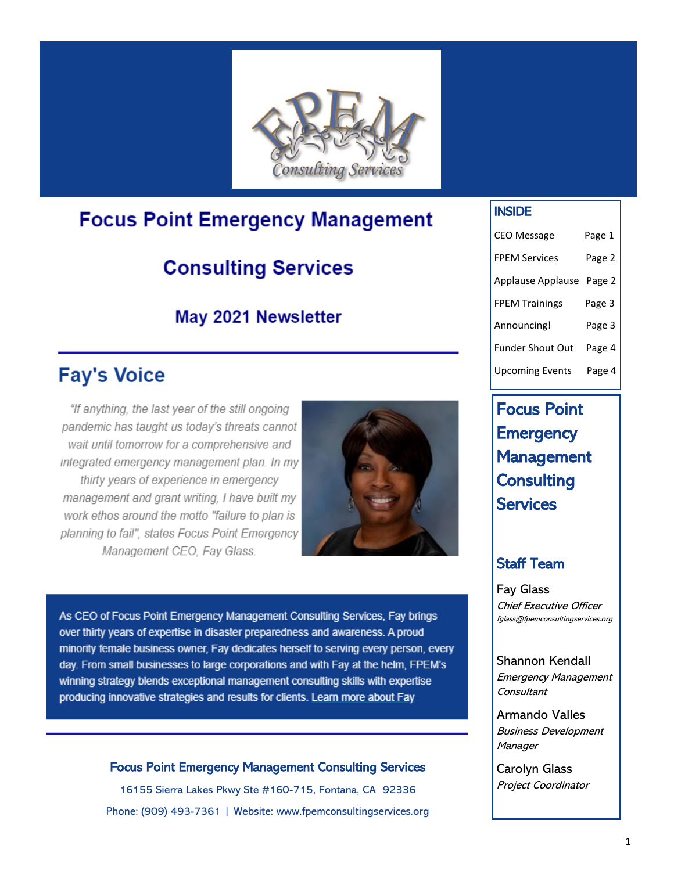

## **Focus Point Emergency Management**

# **Consulting Services**

### May 2021 Newsletter

# **Fay's Voice**

"If anything, the last year of the still ongoing pandemic has taught us today's threats cannot wait until tomorrow for a comprehensive and integrated emergency management plan. In my thirty years of experience in emergency management and grant writing. I have built my work ethos around the motto "failure to plan is planning to fail", states Focus Point Emergency Management CEO, Fay Glass.



As CEO of Focus Point Emergency Management Consulting Services, Fay brings over thirty years of expertise in disaster preparedness and awareness. A proud minority female business owner, Fay dedicates herself to serving every person, every day. From small businesses to large corporations and with Fay at the helm, FPEM's winning strategy blends exceptional management consulting skills with expertise producing innovative strategies and results for clients. Learn more about Fay

### Focus Point Emergency Management Consulting Services

16155 Sierra Lakes Pkwy Ste #160-715, Fontana, CA 92336 Phone: (909) 493-7361 | Website: www.fpemconsultingservices.org

### INSIDE

| <b>CEO Message</b>      | Page 1 |
|-------------------------|--------|
| <b>FPEM Services</b>    | Page 2 |
| Applause Applause       | Page 2 |
| <b>FPEM Trainings</b>   | Page 3 |
| Announcing!             | Page 3 |
| <b>Funder Shout Out</b> | Page 4 |
| <b>Upcoming Events</b>  | Page 4 |

## Focus Point **Emergency** Management **Consulting Services**

### Staff Team

Fay Glass Chief Executive Officer fglass@fpemconsultingservices.org

Shannon Kendall Emergency Management **Consultant** 

Armando Valles Business Development **Manager** 

Carolyn Glass Project Coordinator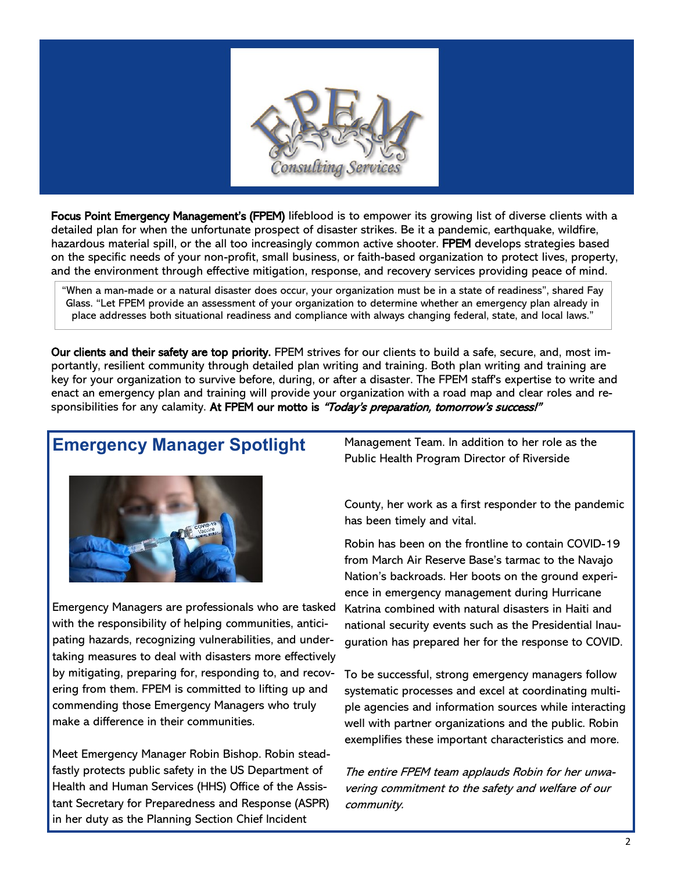

Focus Point Emergency Management's (FPEM) lifeblood is to empower its growing list of diverse clients with a detailed plan for when the unfortunate prospect of disaster strikes. Be it a pandemic, earthquake, wildfire, hazardous material spill, or the all too increasingly common active shooter. FPEM develops strategies based on the specific needs of your non-profit, small business, or faith-based organization to protect lives, property, and the environment through effective mitigation, response, and recovery services providing peace of mind.

"When a man-made or a natural disaster does occur, your organization must be in a state of readiness", shared Fay Glass. "Let FPEM provide an assessment of your organization to determine whether an emergency plan already in place addresses both situational readiness and compliance with always changing federal, state, and local laws."

Our clients and their safety are top priority. FPEM strives for our clients to build a safe, secure, and, most importantly, resilient community through detailed plan writing and training. Both plan writing and training are key for your organization to survive before, during, or after a disaster. The FPEM staff's expertise to write and enact an emergency plan and training will provide your organization with a road map and clear roles and responsibilities for any calamity. At FPEM our motto is "Today's preparation, tomorrow's success!"

### **Emergency Manager Spotlight**



Emergency Managers are professionals who are tasked with the responsibility of helping communities, anticipating hazards, recognizing vulnerabilities, and undertaking measures to deal with disasters more effectively by mitigating, preparing for, responding to, and recovering from them. FPEM is committed to lifting up and commending those Emergency Managers who truly make a difference in their communities.

Meet Emergency Manager Robin Bishop. Robin steadfastly protects public safety in the US Department of Health and Human Services (HHS) Office of the Assistant Secretary for Preparedness and Response (ASPR) in her duty as the Planning Section Chief Incident

Management Team. In addition to her role as the Public Health Program Director of Riverside

County, her work as a first responder to the pandemic has been timely and vital.

Robin has been on the frontline to contain COVID-19 from March Air Reserve Base's tarmac to the Navajo Nation's backroads. Her boots on the ground experience in emergency management during Hurricane Katrina combined with natural disasters in Haiti and national security events such as the Presidential Inauguration has prepared her for the response to COVID.

To be successful, strong emergency managers follow systematic processes and excel at coordinating multiple agencies and information sources while interacting well with partner organizations and the public. Robin exemplifies these important characteristics and more.

The entire FPEM team applauds Robin for her unwavering commitment to the safety and welfare of our community.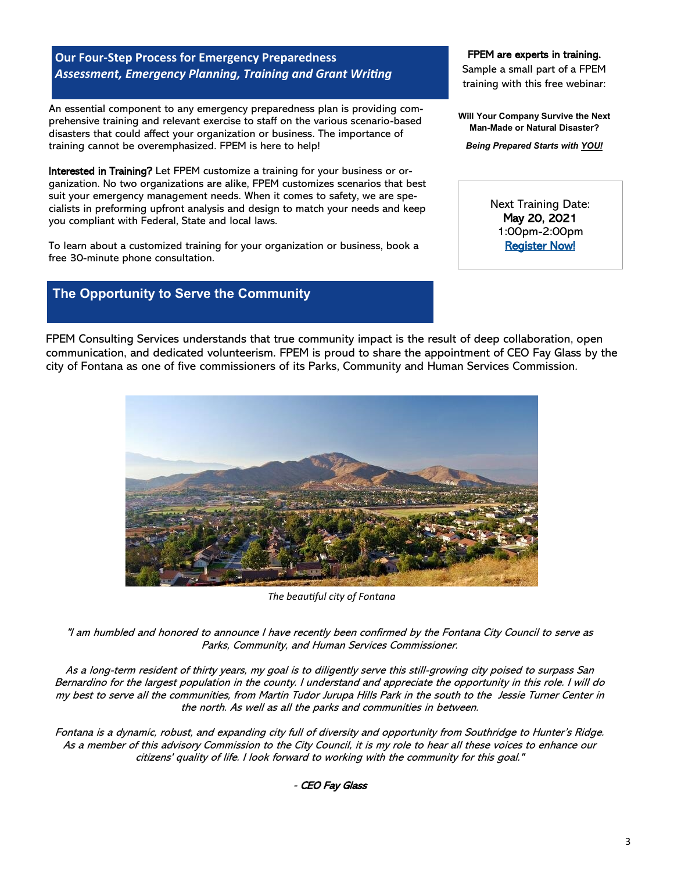#### **Our Four-Step Process for Emergency Preparedness** *Assessment, Emergency Planning, Training and Grant Writing*

An essential component to any emergency preparedness plan is providing comprehensive training and relevant exercise to staff on the various scenario-based disasters that could affect your organization or business. The importance of training cannot be overemphasized. FPEM is here to help!

Interested in Training? Let FPEM customize a training for your business or organization. No two organizations are alike, FPEM customizes scenarios that best suit your emergency management needs. When it comes to safety, we are specialists in preforming upfront analysis and design to match your needs and keep you compliant with Federal, State and local laws.

To learn about a customized training for your organization or business, book a free 30-minute phone consultation.

### **The Opportunity to Serve the Community**

#### FPEM are experts in training.

Sample a small part of a FPEM training with this free webinar:

**Will Your Company Survive the Next Man-Made or Natural Disaster?**

*Being Prepared Starts with YOU!*

Next Training Date: May 20, 2021 1:00pm-2:00pm Register Now!

FPEM Consulting Services understands that true community impact is the result of deep collaboration, open communication, and dedicated volunteerism. FPEM is proud to share the appointment of CEO Fay Glass by the city of Fontana as one of five commissioners of its Parks, Community and Human Services Commission.



*The beautiful city of Fontana*

"I am humbled and honored to announce I have recently been confirmed by the Fontana City Council to serve as Parks, Community, and Human Services Commissioner.

As a long-term resident of thirty years, my goal is to diligently serve this still-growing city poised to surpass San Bernardino for the largest population in the county. I understand and appreciate the opportunity in this role. I will do my best to serve all the communities, from Martin Tudor Jurupa Hills Park in the south to the Jessie Turner Center in the north. As well as all the parks and communities in between.

Fontana is a dynamic, robust, and expanding city full of diversity and opportunity from Southridge to Hunter's Ridge. As a member of this advisory Commission to the City Council, it is my role to hear all these voices to enhance our citizens' quality of life. I look forward to working with the community for this goal."